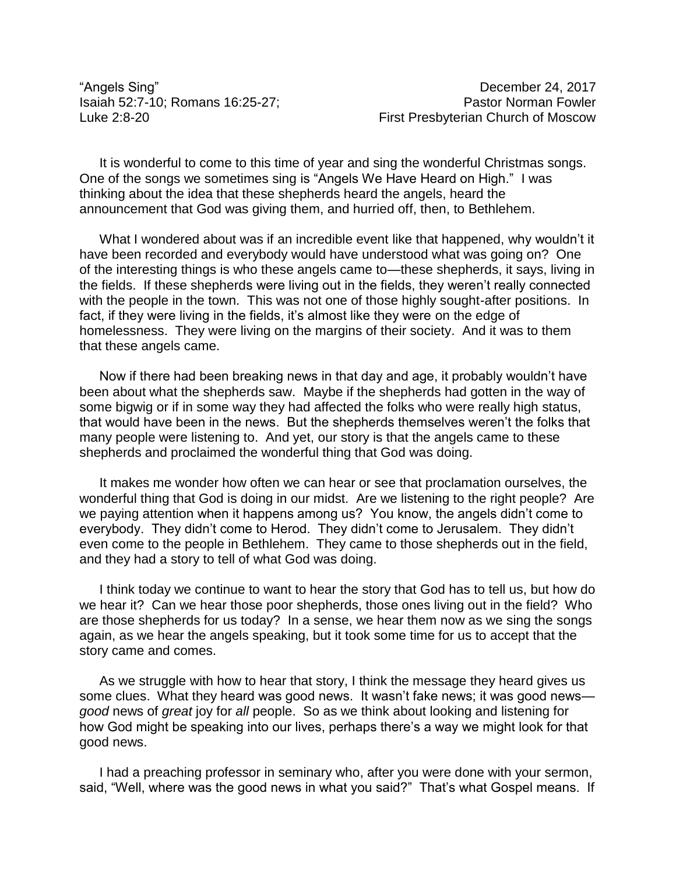"Angels Sing" December 24, 2017

It is wonderful to come to this time of year and sing the wonderful Christmas songs. One of the songs we sometimes sing is "Angels We Have Heard on High." I was thinking about the idea that these shepherds heard the angels, heard the announcement that God was giving them, and hurried off, then, to Bethlehem.

What I wondered about was if an incredible event like that happened, why wouldn't it have been recorded and everybody would have understood what was going on? One of the interesting things is who these angels came to—these shepherds, it says, living in the fields. If these shepherds were living out in the fields, they weren't really connected with the people in the town. This was not one of those highly sought-after positions. In fact, if they were living in the fields, it's almost like they were on the edge of homelessness. They were living on the margins of their society. And it was to them that these angels came.

Now if there had been breaking news in that day and age, it probably wouldn't have been about what the shepherds saw. Maybe if the shepherds had gotten in the way of some bigwig or if in some way they had affected the folks who were really high status, that would have been in the news. But the shepherds themselves weren't the folks that many people were listening to. And yet, our story is that the angels came to these shepherds and proclaimed the wonderful thing that God was doing.

It makes me wonder how often we can hear or see that proclamation ourselves, the wonderful thing that God is doing in our midst. Are we listening to the right people? Are we paying attention when it happens among us? You know, the angels didn't come to everybody. They didn't come to Herod. They didn't come to Jerusalem. They didn't even come to the people in Bethlehem. They came to those shepherds out in the field, and they had a story to tell of what God was doing.

I think today we continue to want to hear the story that God has to tell us, but how do we hear it? Can we hear those poor shepherds, those ones living out in the field? Who are those shepherds for us today? In a sense, we hear them now as we sing the songs again, as we hear the angels speaking, but it took some time for us to accept that the story came and comes.

As we struggle with how to hear that story, I think the message they heard gives us some clues. What they heard was good news. It wasn't fake news; it was good news *good* news of *great* joy for *all* people. So as we think about looking and listening for how God might be speaking into our lives, perhaps there's a way we might look for that good news.

I had a preaching professor in seminary who, after you were done with your sermon, said, "Well, where was the good news in what you said?" That's what Gospel means. If